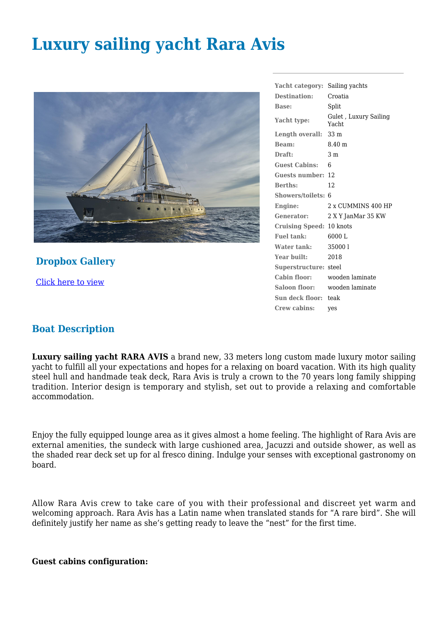# **Luxury sailing yacht Rara Avis**



**Dropbox Gallery**

[Click here to view](https://www.dropbox.com/sh/du3jqid9gxmt8h0/AADcpDHC2dbviAwV2Tswyzfva?dl=0)

**Yacht category:** Sailing yachts **Destination:** Croatia **Base:** Split Yacht type: Gulet , Luxury Sailing Yacht **Length overall:** 33 m **Beam:** 8.40 m **Draft:** 3 m **Guest Cabins:** 6 **Guests number:** 12 **Berths:** 12 **Showers/toilets:** 6 **Engine:** 2 x CUMMINS 400 HP **Generator:** 2 X Y JanMar 35 KW **Cruising Speed:** 10 knots **Fuel tank:** 6000 L **Water tank:** 35000 l **Year built:** 2018 **Superstructure:** steel **Cabin floor:** wooden laminate **Saloon floor:** wooden laminate **Sun deck floor:** teak **Crew cabins:** yes

### **Boat Description**

**Luxury sailing yacht RARA AVIS** a brand new, 33 meters long custom made luxury motor sailing yacht to fulfill all your expectations and hopes for a relaxing on board vacation. With its high quality steel hull and handmade teak deck, Rara Avis is truly a crown to the 70 years long family shipping tradition. Interior design is temporary and stylish, set out to provide a relaxing and comfortable accommodation.

Enjoy the fully equipped lounge area as it gives almost a home feeling. The highlight of Rara Avis are external amenities, the sundeck with large cushioned area, Jacuzzi and outside shower, as well as the shaded rear deck set up for al fresco dining. Indulge your senses with exceptional gastronomy on board.

Allow Rara Avis crew to take care of you with their professional and discreet yet warm and welcoming approach. Rara Avis has a Latin name when translated stands for "A rare bird". She will definitely justify her name as she's getting ready to leave the "nest" for the first time.

**Guest cabins configuration:**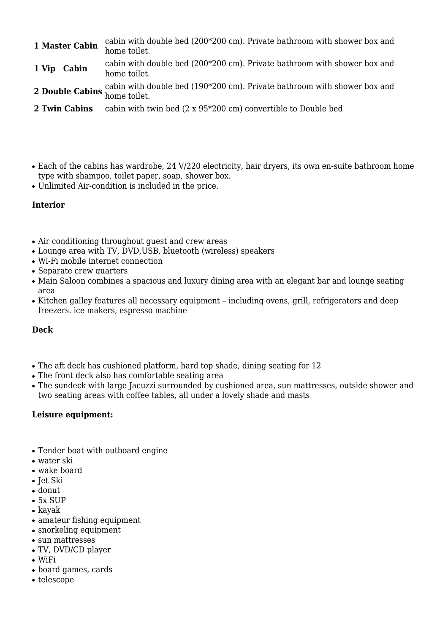- **1 Master Cabin** cabin with double bed (200\*200 cm). Private bathroom with shower box and home toilet.
- **1 Vip** Cabin cabin with double bed (200\*200 cm). Private bathroom with shower box and home toilet.
- **2 Double Cabins** cabin with double bed (190\*200 cm). Private bathroom with shower box and home toilet.
- **2 Twin Cabins** cabin with twin bed (2 x 95\*200 cm) convertible to Double bed
- Each of the cabins has wardrobe, 24 V/220 electricity, hair dryers, its own en-suite bathroom home type with shampoo, toilet paper, soap, shower box.
- Unlimited Air-condition is included in the price.

#### **Interior**

- Air conditioning throughout guest and crew areas
- Lounge area with TV, DVD, USB, bluetooth (wireless) speakers
- Wi-Fi mobile internet connection
- Separate crew quarters
- Main Saloon combines a spacious and luxury dining area with an elegant bar and lounge seating area
- Kitchen galley features all necessary equipment including ovens, grill, refrigerators and deep freezers. ice makers, espresso machine

#### **Deck**

- The aft deck has cushioned platform, hard top shade, dining seating for 12
- The front deck also has comfortable seating area
- The sundeck with large Jacuzzi surrounded by cushioned area, sun mattresses, outside shower and two seating areas with coffee tables, all under a lovely shade and masts

#### **Leisure equipment:**

- Tender boat with outboard engine
- water ski
- wake board
- Jet Ski
- donut
- 5x SUP
- $\bullet$  kayak
- amateur fishing equipment
- snorkeling equipment
- sun mattresses
- TV, DVD/CD player
- $\bullet$  WiFi
- board games, cards
- telescope